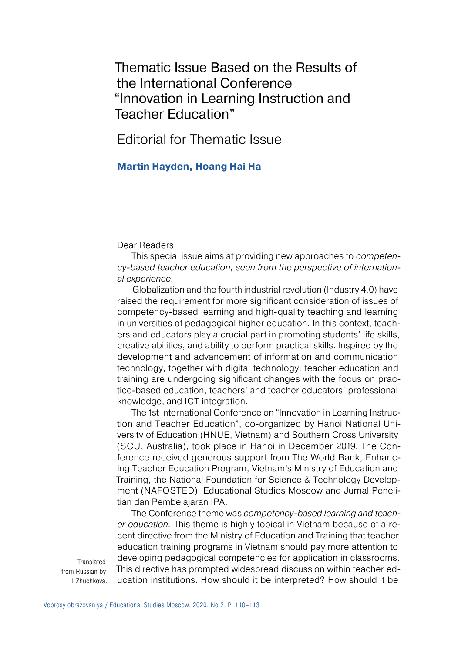Thematic Issue Based on the Results of the International Conference "Innovation in Learning Instruction and Teacher Education"

## Editorial for Thematic Issue

## **[Martin Hayden,](https://vo.hse.ru/en/by_authors/373400831.html) [Hoang Hai Ha](https://vo.hse.ru/en/by_authors/373400884.html)**

Dear Readers,

This special issue aims at providing new approaches to *competency-based teacher education, seen from the perspective of international experience.*

Globalization and the fourth industrial revolution (Industry 4.0) have raised the requirement for more significant consideration of issues of competency-based learning and high-quality teaching and learning in universities of pedagogical higher education. In this context, teachers and educators play a crucial part in promoting students' life skills, creative abilities, and ability to perform practical skills. Inspired by the development and advancement of information and communication technology, together with digital technology, teacher education and training are undergoing significant changes with the focus on practice-based education, teachers' and teacher educators' professional knowledge, and ICT integration.

The 1st International Conference on "Innovation in Learning Instruction and Teacher Education", co-organized by Hanoi National University of Education (HNUE, Vietnam) and Southern Cross University (SCU, Australia), took place in Hanoi in December 2019. The Conference received generous support from The World Bank, Enhancing Teacher Education Program, Vietnam's Ministry of Education and Training, the National Foundation for Science & Technology Development (NAFOSTED), Educational Studies Moscow and Jurnal Penelitian dan Pembelajaran IPA.

The Conference theme was *competency-based learning and teacher education.* This theme is highly topical in Vietnam because of a recent directive from the Ministry of Education and Training that teacher education training programs in Vietnam should pay more attention to developing pedagogical competencies for application in classrooms. This directive has prompted widespread discussion within teacher education institutions. How should it be interpreted? How should it be

Translated from Russian by I. Zhuchkova.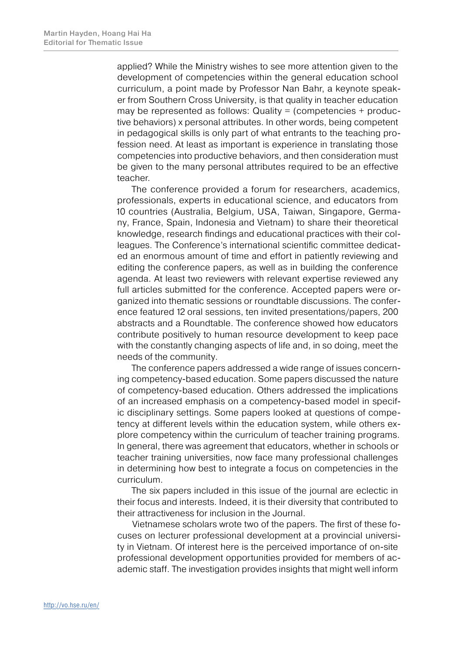applied? While the Ministry wishes to see more attention given to the development of competencies within the general education school curriculum, a point made by Professor Nan Bahr, a keynote speaker from Southern Cross University, is that quality in teacher education may be represented as follows: Quality = (competencies + productive behaviors) x personal attributes. In other words, being competent in pedagogical skills is only part of what entrants to the teaching profession need. At least as important is experience in translating those competencies into productive behaviors, and then consideration must be given to the many personal attributes required to be an effective teacher.

The conference provided a forum for researchers, academics, professionals, experts in educational science, and educators from 10 countries (Australia, Belgium, USA, Taiwan, Singapore, Germany, France, Spain, Indonesia and Vietnam) to share their theoretical knowledge, research findings and educational practices with their colleagues. The Conference's international scientific committee dedicated an enormous amount of time and effort in patiently reviewing and editing the conference papers, as well as in building the conference agenda. At least two reviewers with relevant expertise reviewed any full articles submitted for the conference. Accepted papers were organized into thematic sessions or roundtable discussions. The conference featured 12 oral sessions, ten invited presentations/papers, 200 abstracts and a Roundtable. The conference showed how educators contribute positively to human resource development to keep pace with the constantly changing aspects of life and, in so doing, meet the needs of the community.

The conference papers addressed a wide range of issues concerning competency-based education. Some papers discussed the nature of competency-based education. Others addressed the implications of an increased emphasis on a competency-based model in specific disciplinary settings. Some papers looked at questions of competency at different levels within the education system, while others explore competency within the curriculum of teacher training programs. In general, there was agreement that educators, whether in schools or teacher training universities, now face many professional challenges in determining how best to integrate a focus on competencies in the curriculum.

The six papers included in this issue of the journal are eclectic in their focus and interests. Indeed, it is their diversity that contributed to their attractiveness for inclusion in the Journal.

Vietnamese scholars wrote two of the papers. The first of these focuses on lecturer professional development at a provincial university in Vietnam. Of interest here is the perceived importance of on-site professional development opportunities provided for members of academic staff. The investigation provides insights that might well inform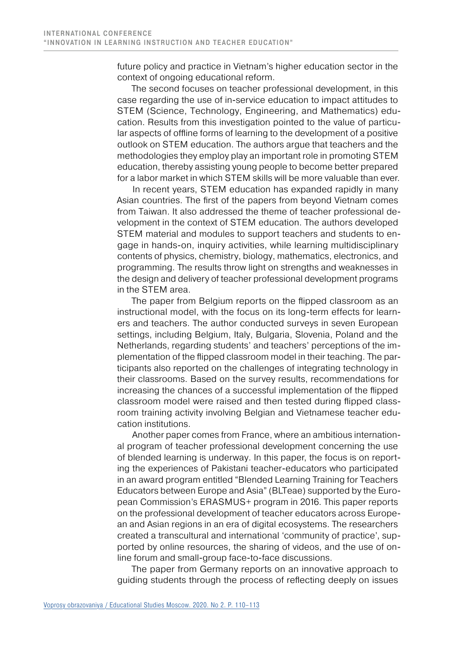future policy and practice in Vietnam's higher education sector in the context of ongoing educational reform.

The second focuses on teacher professional development, in this case regarding the use of in-service education to impact attitudes to STEM (Science, Technology, Engineering, and Mathematics) education. Results from this investigation pointed to the value of particular aspects of offline forms of learning to the development of a positive outlook on STEM education. The authors argue that teachers and the methodologies they employ play an important role in promoting STEM education, thereby assisting young people to become better prepared for a labor market in which STEM skills will be more valuable than ever.

In recent years, STEM education has expanded rapidly in many Asian countries. The first of the papers from beyond Vietnam comes from Taiwan. It also addressed the theme of teacher professional development in the context of STEM education. The authors developed STEM material and modules to support teachers and students to engage in hands-on, inquiry activities, while learning multidisciplinary contents of physics, chemistry, biology, mathematics, electronics, and programming. The results throw light on strengths and weaknesses in the design and delivery of teacher professional development programs in the STEM area.

The paper from Belgium reports on the flipped classroom as an instructional model, with the focus on its long-term effects for learners and teachers. The author conducted surveys in seven European settings, including Belgium, Italy, Bulgaria, Slovenia, Poland and the Netherlands, regarding students' and teachers' perceptions of the implementation of the flipped classroom model in their teaching. The participants also reported on the challenges of integrating technology in their classrooms. Based on the survey results, recommendations for increasing the chances of a successful implementation of the flipped classroom model were raised and then tested during flipped classroom training activity involving Belgian and Vietnamese teacher education institutions.

Another paper comes from France, where an ambitious international program of teacher professional development concerning the use of blended learning is underway. In this paper, the focus is on reporting the experiences of Pakistani teacher-educators who participated in an award program entitled "Blended Learning Training for Teachers Educators between Europe and Asia" (BLTeae) supported by the European Commission's ERASMUS+ program in 2016. This paper reports on the professional development of teacher educators across European and Asian regions in an era of digital ecosystems. The researchers created a transcultural and international 'community of practice', supported by online resources, the sharing of videos, and the use of online forum and small-group face-to-face discussions.

The paper from Germany reports on an innovative approach to guiding students through the process of reflecting deeply on issues